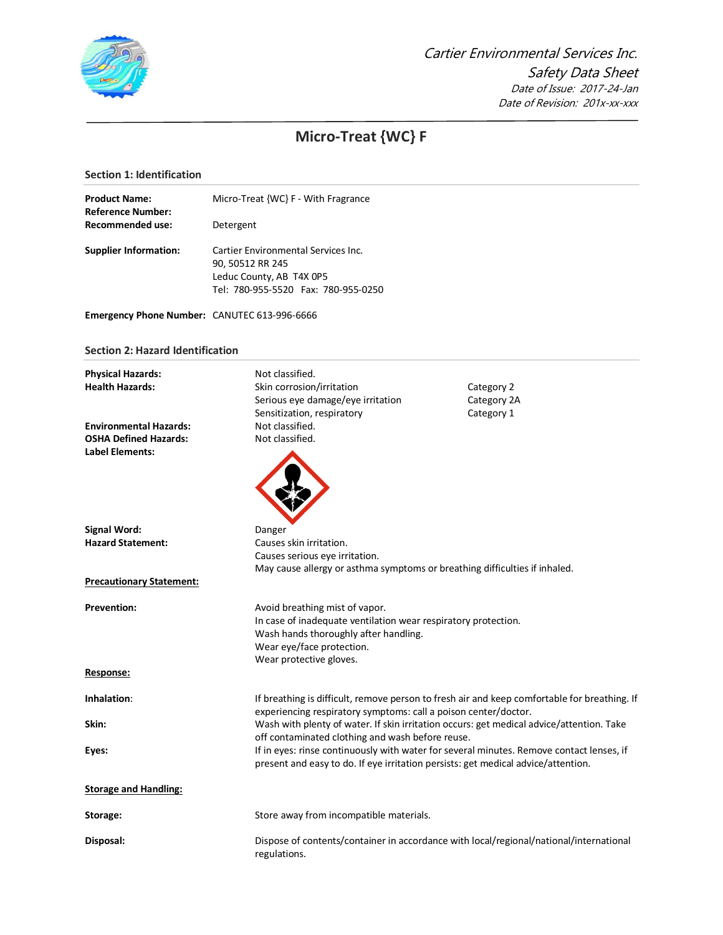

# **Micro-Treat {WC} F**

# **Section 1: Identification**

| <b>Product Name:</b><br><b>Reference Number:</b> | Micro-Treat {WC} F - With Fragrance                                                                                        |                                                                                              |
|--------------------------------------------------|----------------------------------------------------------------------------------------------------------------------------|----------------------------------------------------------------------------------------------|
| <b>Recommended use:</b>                          | Detergent                                                                                                                  |                                                                                              |
| <b>Supplier Information:</b>                     | Cartier Environmental Services Inc.<br>90, 50512 RR 245<br>Leduc County, AB T4X 0P5<br>Tel: 780-955-5520 Fax: 780-955-0250 |                                                                                              |
| Emergency Phone Number: CANUTEC 613-996-6666     |                                                                                                                            |                                                                                              |
| <b>Section 2: Hazard Identification</b>          |                                                                                                                            |                                                                                              |
| <b>Physical Hazards:</b>                         | Not classified.                                                                                                            |                                                                                              |
| <b>Health Hazards:</b>                           | Skin corrosion/irritation                                                                                                  | Category 2                                                                                   |
|                                                  | Serious eye damage/eye irritation                                                                                          | Category 2A                                                                                  |
|                                                  | Sensitization, respiratory                                                                                                 | Category 1                                                                                   |
| <b>Environmental Hazards:</b>                    | Not classified.                                                                                                            |                                                                                              |
| <b>OSHA Defined Hazards:</b>                     | Not classified.                                                                                                            |                                                                                              |
| <b>Label Elements:</b>                           |                                                                                                                            |                                                                                              |
| <b>Signal Word:</b>                              | Danger                                                                                                                     |                                                                                              |
| <b>Hazard Statement:</b>                         | Causes skin irritation.                                                                                                    |                                                                                              |
|                                                  | Causes serious eye irritation.                                                                                             |                                                                                              |
|                                                  | May cause allergy or asthma symptoms or breathing difficulties if inhaled.                                                 |                                                                                              |
| <b>Precautionary Statement:</b>                  |                                                                                                                            |                                                                                              |
| <b>Prevention:</b>                               | Avoid breathing mist of vapor.                                                                                             |                                                                                              |
|                                                  | In case of inadequate ventilation wear respiratory protection.                                                             |                                                                                              |
|                                                  | Wash hands thoroughly after handling.                                                                                      |                                                                                              |
|                                                  | Wear eye/face protection.                                                                                                  |                                                                                              |
|                                                  | Wear protective gloves.                                                                                                    |                                                                                              |
| Response:                                        |                                                                                                                            |                                                                                              |
| Inhalation:                                      |                                                                                                                            | If breathing is difficult, remove person to fresh air and keep comfortable for breathing. If |
|                                                  | experiencing respiratory symptoms: call a poison center/doctor.                                                            |                                                                                              |
| Skin:                                            | off contaminated clothing and wash before reuse.                                                                           | Wash with plenty of water. If skin irritation occurs: get medical advice/attention. Take     |
| Eyes:                                            |                                                                                                                            | If in eyes: rinse continuously with water for several minutes. Remove contact lenses, if     |
|                                                  | present and easy to do. If eye irritation persists: get medical advice/attention.                                          |                                                                                              |
| <b>Storage and Handling:</b>                     |                                                                                                                            |                                                                                              |
| Storage:                                         | Store away from incompatible materials.                                                                                    |                                                                                              |
| Disposal:                                        | regulations.                                                                                                               | Dispose of contents/container in accordance with local/regional/national/international       |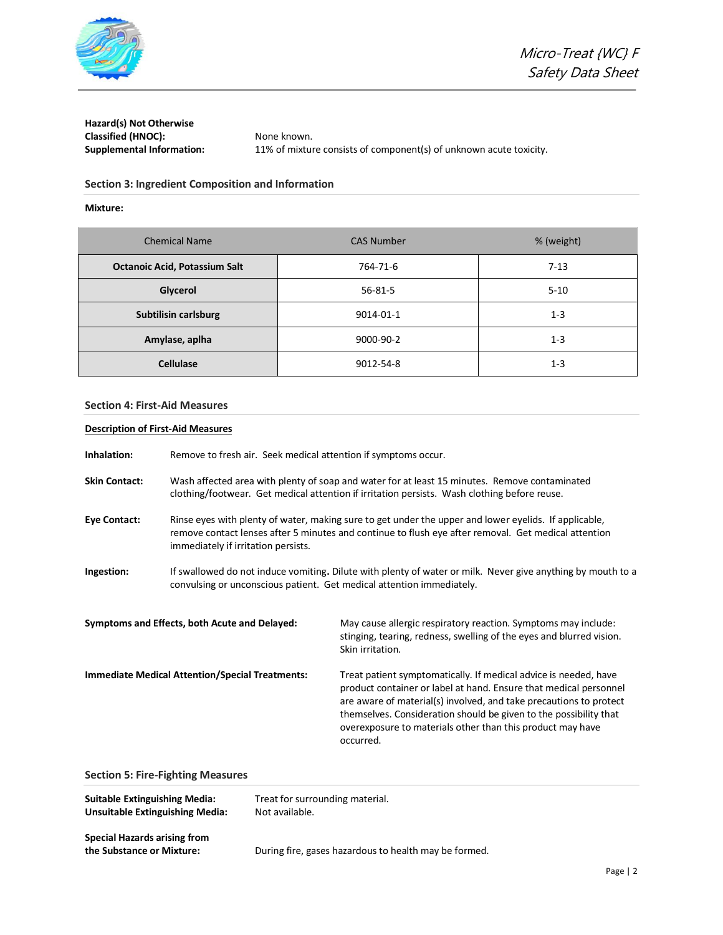

**Hazard(s) Not Otherwise**  Classified (HNOC): None known.

**Supplemental Information:** 11% of mixture consists of component(s) of unknown acute toxicity.

# **Section 3: Ingredient Composition and Information**

# **Mixture:**

| <b>Chemical Name</b>                 | <b>CAS Number</b> | % (weight) |
|--------------------------------------|-------------------|------------|
| <b>Octanoic Acid, Potassium Salt</b> | 764-71-6          | $7 - 13$   |
| Glycerol                             | $56 - 81 - 5$     | $5 - 10$   |
| <b>Subtilisin carlsburg</b>          | 9014-01-1         | $1 - 3$    |
| Amylase, aplha                       | 9000-90-2         | $1 - 3$    |
| <b>Cellulase</b>                     | 9012-54-8         | $1 - 3$    |

#### **Section 4: First-Aid Measures**

# **Description of First-Aid Measures**

| Inhalation:          | Remove to fresh air. Seek medical attention if symptoms occur.                                                                                                                                                                                       |                                                                                                                                                                                                                                                                                                                                                             |  |
|----------------------|------------------------------------------------------------------------------------------------------------------------------------------------------------------------------------------------------------------------------------------------------|-------------------------------------------------------------------------------------------------------------------------------------------------------------------------------------------------------------------------------------------------------------------------------------------------------------------------------------------------------------|--|
| <b>Skin Contact:</b> | Wash affected area with plenty of soap and water for at least 15 minutes. Remove contaminated<br>clothing/footwear. Get medical attention if irritation persists. Wash clothing before reuse.                                                        |                                                                                                                                                                                                                                                                                                                                                             |  |
| <b>Eye Contact:</b>  | Rinse eyes with plenty of water, making sure to get under the upper and lower eyelids. If applicable,<br>remove contact lenses after 5 minutes and continue to flush eye after removal. Get medical attention<br>immediately if irritation persists. |                                                                                                                                                                                                                                                                                                                                                             |  |
| Ingestion:           | If swallowed do not induce vomiting. Dilute with plenty of water or milk. Never give anything by mouth to a<br>convulsing or unconscious patient. Get medical attention immediately.                                                                 |                                                                                                                                                                                                                                                                                                                                                             |  |
|                      | Symptoms and Effects, both Acute and Delayed:                                                                                                                                                                                                        | May cause allergic respiratory reaction. Symptoms may include:<br>stinging, tearing, redness, swelling of the eyes and blurred vision.<br>Skin irritation.                                                                                                                                                                                                  |  |
|                      | <b>Immediate Medical Attention/Special Treatments:</b>                                                                                                                                                                                               | Treat patient symptomatically. If medical advice is needed, have<br>product container or label at hand. Ensure that medical personnel<br>are aware of material(s) involved, and take precautions to protect<br>themselves. Consideration should be given to the possibility that<br>overexposure to materials other than this product may have<br>occurred. |  |

# **Section 5: Fire-Fighting Measures**

| <b>Suitable Extinguishing Media:</b> | Treat for surrounding material. |
|--------------------------------------|---------------------------------|
| Unsuitable Extinguishing Media:      | Not available.                  |
| Special Hazards arising from         |                                 |

**Special Hazards arising from**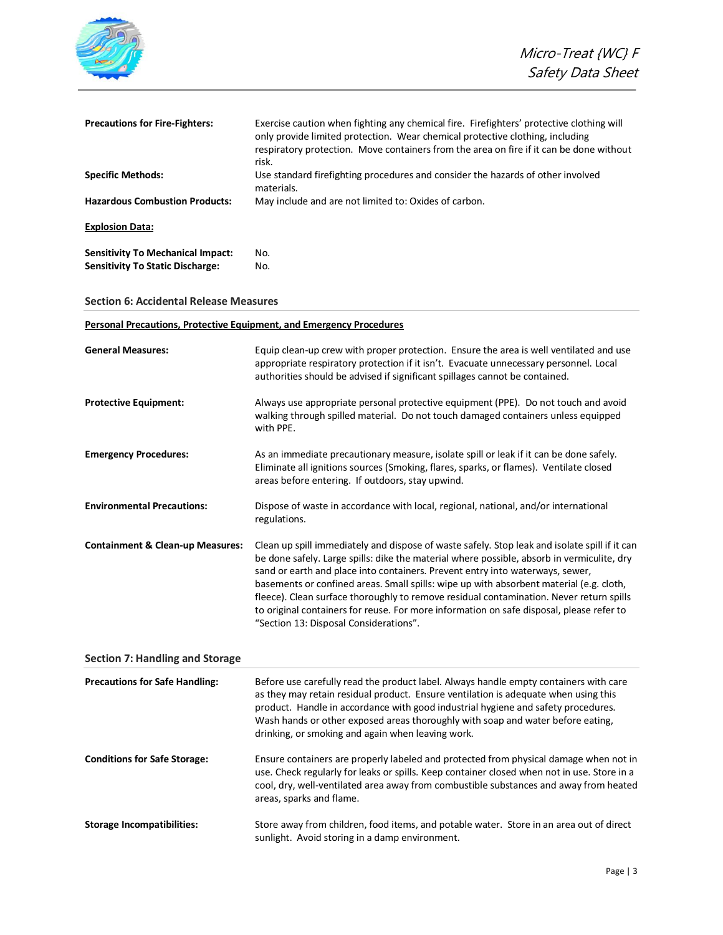|                                                                                     | Micro-Treat {WC} F<br>Safety Data Sheet                                                                                                                                                                                                                                                                                                                                                                                                                                                                                                                                                                  |
|-------------------------------------------------------------------------------------|----------------------------------------------------------------------------------------------------------------------------------------------------------------------------------------------------------------------------------------------------------------------------------------------------------------------------------------------------------------------------------------------------------------------------------------------------------------------------------------------------------------------------------------------------------------------------------------------------------|
| <b>Precautions for Fire-Fighters:</b>                                               | Exercise caution when fighting any chemical fire. Firefighters' protective clothing will<br>only provide limited protection. Wear chemical protective clothing, including<br>respiratory protection. Move containers from the area on fire if it can be done without                                                                                                                                                                                                                                                                                                                                     |
| <b>Specific Methods:</b>                                                            | risk.<br>Use standard firefighting procedures and consider the hazards of other involved<br>materials.                                                                                                                                                                                                                                                                                                                                                                                                                                                                                                   |
| <b>Hazardous Combustion Products:</b>                                               | May include and are not limited to: Oxides of carbon.                                                                                                                                                                                                                                                                                                                                                                                                                                                                                                                                                    |
| <b>Explosion Data:</b>                                                              |                                                                                                                                                                                                                                                                                                                                                                                                                                                                                                                                                                                                          |
| <b>Sensitivity To Mechanical Impact:</b><br><b>Sensitivity To Static Discharge:</b> | No.<br>No.                                                                                                                                                                                                                                                                                                                                                                                                                                                                                                                                                                                               |
| <b>Section 6: Accidental Release Measures</b>                                       |                                                                                                                                                                                                                                                                                                                                                                                                                                                                                                                                                                                                          |
| <b>Personal Precautions, Protective Equipment, and Emergency Procedures</b>         |                                                                                                                                                                                                                                                                                                                                                                                                                                                                                                                                                                                                          |
| <b>General Measures:</b>                                                            | Equip clean-up crew with proper protection. Ensure the area is well ventilated and use<br>appropriate respiratory protection if it isn't. Evacuate unnecessary personnel. Local<br>authorities should be advised if significant spillages cannot be contained.                                                                                                                                                                                                                                                                                                                                           |
| <b>Protective Equipment:</b>                                                        | Always use appropriate personal protective equipment (PPE). Do not touch and avoid<br>walking through spilled material. Do not touch damaged containers unless equipped<br>with PPE.                                                                                                                                                                                                                                                                                                                                                                                                                     |
| <b>Emergency Procedures:</b>                                                        | As an immediate precautionary measure, isolate spill or leak if it can be done safely.<br>Eliminate all ignitions sources (Smoking, flares, sparks, or flames). Ventilate closed<br>areas before entering. If outdoors, stay upwind.                                                                                                                                                                                                                                                                                                                                                                     |
| <b>Environmental Precautions:</b>                                                   | Dispose of waste in accordance with local, regional, national, and/or international<br>regulations.                                                                                                                                                                                                                                                                                                                                                                                                                                                                                                      |
| <b>Containment &amp; Clean-up Measures:</b>                                         | Clean up spill immediately and dispose of waste safely. Stop leak and isolate spill if it can<br>be done safely. Large spills: dike the material where possible, absorb in vermiculite, dry<br>sand or earth and place into containers. Prevent entry into waterways, sewer,<br>basements or confined areas. Small spills: wipe up with absorbent material (e.g. cloth,<br>fleece). Clean surface thoroughly to remove residual contamination. Never return spills<br>to original containers for reuse. For more information on safe disposal, please refer to<br>"Section 13: Disposal Considerations". |
| <b>Section 7: Handling and Storage</b>                                              |                                                                                                                                                                                                                                                                                                                                                                                                                                                                                                                                                                                                          |
| <b>Precautions for Safe Handling:</b>                                               | Before use carefully read the product label. Always handle empty containers with care<br>as they may retain residual product. Ensure ventilation is adequate when using this<br>product. Handle in accordance with good industrial hygiene and safety procedures.<br>Wash hands or other exposed areas thoroughly with soap and water before eating,<br>drinking, or smoking and again when leaving work.                                                                                                                                                                                                |
| <b>Conditions for Safe Storage:</b>                                                 | Ensure containers are properly labeled and protected from physical damage when not in<br>use. Check regularly for leaks or spills. Keep container closed when not in use. Store in a<br>cool, dry, well-ventilated area away from combustible substances and away from heated<br>areas, sparks and flame.                                                                                                                                                                                                                                                                                                |
| <b>Storage Incompatibilities:</b>                                                   | Store away from children, food items, and potable water. Store in an area out of direct<br>sunlight. Avoid storing in a damp environment.                                                                                                                                                                                                                                                                                                                                                                                                                                                                |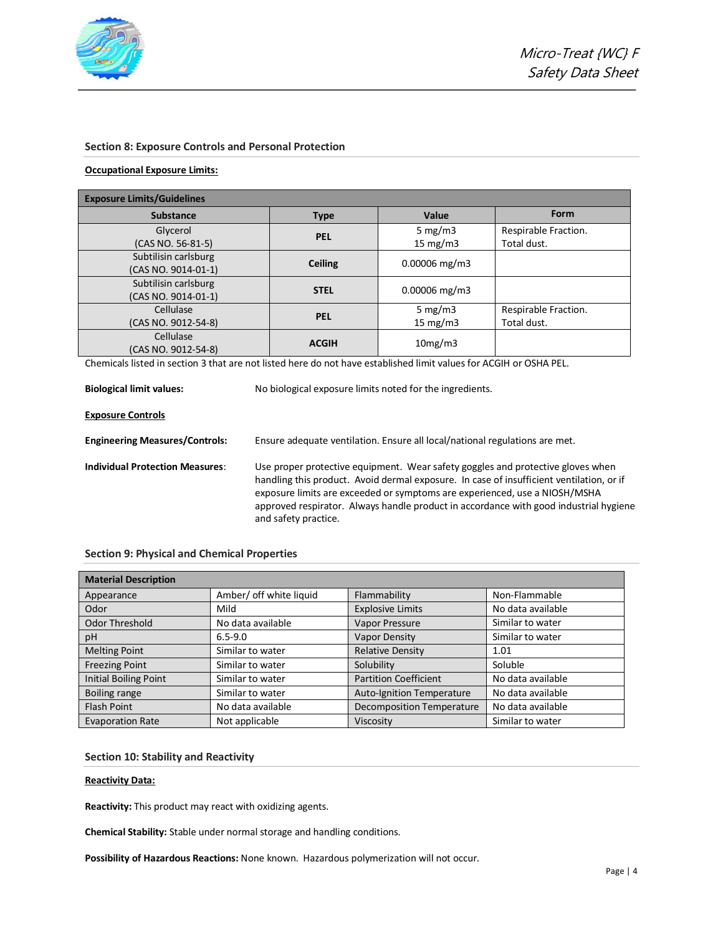

#### **Section 8: Exposure Controls and Personal Protection**

#### **Occupational Exposure Limits:**

| <b>Exposure Limits/Guidelines</b>           |                |                           |                                     |
|---------------------------------------------|----------------|---------------------------|-------------------------------------|
| <b>Substance</b>                            | <b>Type</b>    | Value                     | Form                                |
| Glycerol<br>(CAS NO. 56-81-5)               | PEL            | 5 mg/m $3$<br>15 mg/m $3$ | Respirable Fraction.<br>Total dust. |
| Subtilisin carlsburg<br>(CAS NO. 9014-01-1) | <b>Ceiling</b> | $0.00006$ mg/m3           |                                     |
| Subtilisin carlsburg<br>(CAS NO. 9014-01-1) | <b>STEL</b>    | $0.00006$ mg/m3           |                                     |
| Cellulase<br>(CAS NO. 9012-54-8)            | <b>PEL</b>     | 5 mg/m $3$<br>15 mg/m $3$ | Respirable Fraction.<br>Total dust. |
| Cellulase<br>(CAS NO. 9012-54-8)            | <b>ACGIH</b>   | 10mg/m3                   |                                     |

Chemicals listed in section 3 that are not listed here do not have established limit values for ACGIH or OSHA PEL.

**Biological limit values:** No biological exposure limits noted for the ingredients.

#### **Exposure Controls**

**Engineering Measures/Controls:** Ensure adequate ventilation. Ensure all local/national regulations are met. **Individual Protection Measures**: Use proper protective equipment. Wear safety goggles and protective gloves when handling this product. Avoid dermal exposure. In case of insufficient ventilation, or if

exposure limits are exceeded or symptoms are experienced, use a NIOSH/MSHA approved respirator. Always handle product in accordance with good industrial hygiene and safety practice.

|  |  | <b>Section 9: Physical and Chemical Properties</b> |  |
|--|--|----------------------------------------------------|--|
|--|--|----------------------------------------------------|--|

| <b>Material Description</b>  |                         |                                  |                   |
|------------------------------|-------------------------|----------------------------------|-------------------|
| Appearance                   | Amber/ off white liquid | Flammability                     | Non-Flammable     |
| Odor                         | Mild                    | <b>Explosive Limits</b>          | No data available |
| Odor Threshold               | No data available       | <b>Vapor Pressure</b>            | Similar to water  |
| pH                           | $6.5 - 9.0$             | <b>Vapor Density</b>             | Similar to water  |
| <b>Melting Point</b>         | Similar to water        | <b>Relative Density</b>          | 1.01              |
| <b>Freezing Point</b>        | Similar to water        | Solubility                       | Soluble           |
| <b>Initial Boiling Point</b> | Similar to water        | <b>Partition Coefficient</b>     | No data available |
| Boiling range                | Similar to water        | <b>Auto-Ignition Temperature</b> | No data available |
| <b>Flash Point</b>           | No data available       | <b>Decomposition Temperature</b> | No data available |
| <b>Evaporation Rate</b>      | Not applicable          | Viscosity                        | Similar to water  |

#### **Section 10: Stability and Reactivity**

#### **Reactivity Data:**

**Reactivity:** This product may react with oxidizing agents.

**Chemical Stability:** Stable under normal storage and handling conditions.

**Possibility of Hazardous Reactions:** None known. Hazardous polymerization will not occur.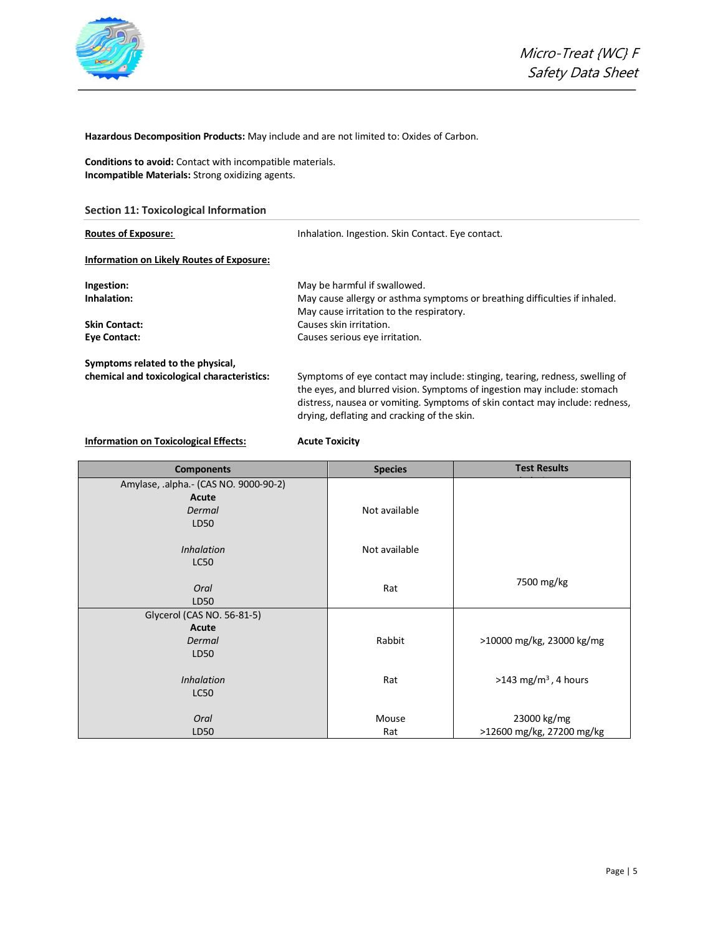

**Hazardous Decomposition Products:** May include and are not limited to: Oxides of Carbon.

**Conditions to avoid:** Contact with incompatible materials. **Incompatible Materials:** Strong oxidizing agents.

**Section 11: Toxicological Information**

| <b>Routes of Exposure:</b>                  | Inhalation. Ingestion. Skin Contact. Eye contact.                                                                                                                                                                                                                                       |  |
|---------------------------------------------|-----------------------------------------------------------------------------------------------------------------------------------------------------------------------------------------------------------------------------------------------------------------------------------------|--|
| Information on Likely Routes of Exposure:   |                                                                                                                                                                                                                                                                                         |  |
| Ingestion:                                  | May be harmful if swallowed.                                                                                                                                                                                                                                                            |  |
| Inhalation:                                 | May cause allergy or asthma symptoms or breathing difficulties if inhaled.<br>May cause irritation to the respiratory.                                                                                                                                                                  |  |
| <b>Skin Contact:</b>                        | Causes skin irritation.                                                                                                                                                                                                                                                                 |  |
| <b>Eye Contact:</b>                         | Causes serious eye irritation.                                                                                                                                                                                                                                                          |  |
| Symptoms related to the physical,           |                                                                                                                                                                                                                                                                                         |  |
| chemical and toxicological characteristics: | Symptoms of eye contact may include: stinging, tearing, redness, swelling of<br>the eyes, and blurred vision. Symptoms of ingestion may include: stomach<br>distress, nausea or vomiting. Symptoms of skin contact may include: redness,<br>drying, deflating and cracking of the skin. |  |

# **Information on Toxicological Effects: Acute Toxicity**

| <b>Components</b>                     | <b>Species</b> | <b>Test Results</b>              |
|---------------------------------------|----------------|----------------------------------|
| Amylase, .alpha.- (CAS NO. 9000-90-2) |                |                                  |
| Acute                                 |                |                                  |
| <b>Dermal</b>                         | Not available  |                                  |
| LD50                                  |                |                                  |
|                                       |                |                                  |
| <i>Inhalation</i>                     | Not available  |                                  |
| <b>LC50</b>                           |                |                                  |
|                                       |                | 7500 mg/kg                       |
| Oral                                  | Rat            |                                  |
| LD50                                  |                |                                  |
| Glycerol (CAS NO. 56-81-5)            |                |                                  |
| Acute                                 |                |                                  |
| Dermal                                | Rabbit         | >10000 mg/kg, 23000 kg/mg        |
| LD50                                  |                |                                  |
| <b>Inhalation</b>                     | Rat            | >143 mg/m <sup>3</sup> , 4 hours |
| <b>LC50</b>                           |                |                                  |
|                                       |                |                                  |
| Oral                                  | Mouse          | 23000 kg/mg                      |
| LD50                                  | Rat            | >12600 mg/kg, 27200 mg/kg        |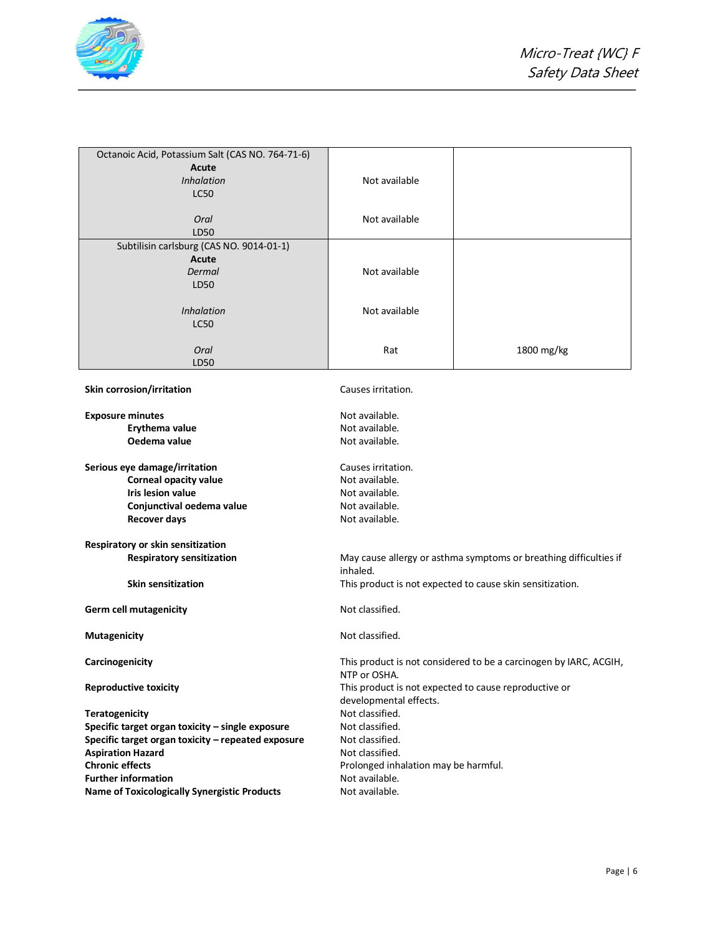

| Octanoic Acid, Potassium Salt (CAS NO. 764-71-6)    |                                                       |                                                                   |
|-----------------------------------------------------|-------------------------------------------------------|-------------------------------------------------------------------|
| Acute                                               |                                                       |                                                                   |
| <b>Inhalation</b>                                   | Not available                                         |                                                                   |
| <b>LC50</b>                                         |                                                       |                                                                   |
|                                                     |                                                       |                                                                   |
| Oral                                                | Not available                                         |                                                                   |
| LD50                                                |                                                       |                                                                   |
| Subtilisin carlsburg (CAS NO. 9014-01-1)            |                                                       |                                                                   |
| Acute                                               |                                                       |                                                                   |
| Dermal                                              | Not available                                         |                                                                   |
| LD50                                                |                                                       |                                                                   |
|                                                     |                                                       |                                                                   |
| <b>Inhalation</b>                                   | Not available                                         |                                                                   |
| <b>LC50</b>                                         |                                                       |                                                                   |
|                                                     |                                                       |                                                                   |
| Oral                                                | Rat                                                   | 1800 mg/kg                                                        |
| LD50                                                |                                                       |                                                                   |
|                                                     |                                                       |                                                                   |
| Skin corrosion/irritation                           | Causes irritation.                                    |                                                                   |
|                                                     |                                                       |                                                                   |
| <b>Exposure minutes</b>                             | Not available.                                        |                                                                   |
| Erythema value                                      | Not available.                                        |                                                                   |
| Oedema value                                        | Not available.                                        |                                                                   |
|                                                     |                                                       |                                                                   |
| Serious eye damage/irritation                       | Causes irritation.                                    |                                                                   |
| <b>Corneal opacity value</b>                        | Not available.                                        |                                                                   |
| <b>Iris lesion value</b>                            | Not available.                                        |                                                                   |
| Conjunctival oedema value                           | Not available.                                        |                                                                   |
|                                                     | Not available.                                        |                                                                   |
| <b>Recover days</b>                                 |                                                       |                                                                   |
| Respiratory or skin sensitization                   |                                                       |                                                                   |
| <b>Respiratory sensitization</b>                    |                                                       | May cause allergy or asthma symptoms or breathing difficulties if |
|                                                     | inhaled.                                              |                                                                   |
| <b>Skin sensitization</b>                           |                                                       | This product is not expected to cause skin sensitization.         |
|                                                     |                                                       |                                                                   |
| <b>Germ cell mutagenicity</b>                       | Not classified.                                       |                                                                   |
|                                                     |                                                       |                                                                   |
| <b>Mutagenicity</b>                                 | Not classified.                                       |                                                                   |
|                                                     |                                                       |                                                                   |
| Carcinogenicity                                     |                                                       | This product is not considered to be a carcinogen by IARC, ACGIH, |
|                                                     | NTP or OSHA.                                          |                                                                   |
| <b>Reproductive toxicity</b>                        | This product is not expected to cause reproductive or |                                                                   |
|                                                     | developmental effects.                                |                                                                   |
| <b>Teratogenicity</b>                               | Not classified.                                       |                                                                   |
| Specific target organ toxicity - single exposure    | Not classified.                                       |                                                                   |
| Specific target organ toxicity - repeated exposure  | Not classified.                                       |                                                                   |
| <b>Aspiration Hazard</b>                            | Not classified.                                       |                                                                   |
| <b>Chronic effects</b>                              | Prolonged inhalation may be harmful.                  |                                                                   |
| <b>Further information</b>                          | Not available.                                        |                                                                   |
| <b>Name of Toxicologically Synergistic Products</b> | Not available.                                        |                                                                   |
|                                                     |                                                       |                                                                   |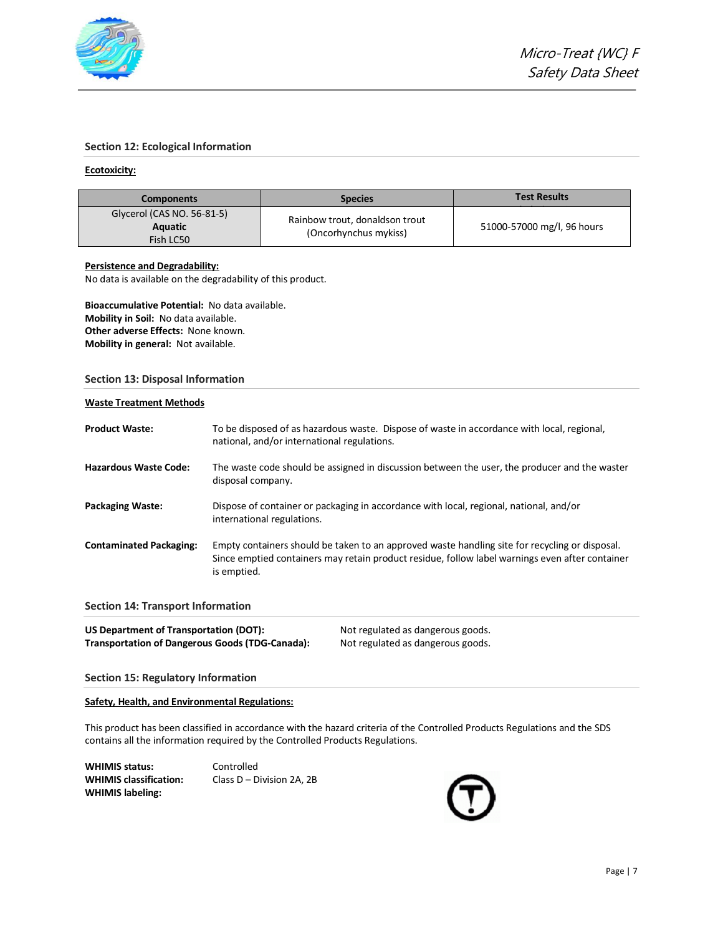

#### **Section 12: Ecological Information**

#### **Ecotoxicity:**

| <b>Components</b>          | <b>Species</b>                 | <b>Test Results</b>        |
|----------------------------|--------------------------------|----------------------------|
| Glycerol (CAS NO. 56-81-5) | Rainbow trout, donaldson trout |                            |
| Aquatic<br>Fish LC50       | (Oncorhynchus mykiss)          | 51000-57000 mg/l, 96 hours |

## **Persistence and Degradability:**

No data is available on the degradability of this product.

**Bioaccumulative Potential:** No data available. **Mobility in Soil:** No data available. **Other adverse Effects:** None known. **Mobility in general:** Not available.

#### **Section 13: Disposal Information**

# **Waste Treatment Methods**

| <b>Product Waste:</b>          | To be disposed of as hazardous waste. Dispose of waste in accordance with local, regional,<br>national, and/or international regulations.                                                                        |
|--------------------------------|------------------------------------------------------------------------------------------------------------------------------------------------------------------------------------------------------------------|
| <b>Hazardous Waste Code:</b>   | The waste code should be assigned in discussion between the user, the producer and the waster<br>disposal company.                                                                                               |
| <b>Packaging Waste:</b>        | Dispose of container or packaging in accordance with local, regional, national, and/or<br>international regulations.                                                                                             |
| <b>Contaminated Packaging:</b> | Empty containers should be taken to an approved waste handling site for recycling or disposal.<br>Since emptied containers may retain product residue, follow label warnings even after container<br>is emptied. |

**Section 14: Transport Information**

| US Department of Transportation (DOT):                 | Not regulated as dangerous goods. |
|--------------------------------------------------------|-----------------------------------|
| <b>Transportation of Dangerous Goods (TDG-Canada):</b> | Not regulated as dangerous goods. |

#### **Section 15: Regulatory Information**

**Safety, Health, and Environmental Regulations:**

This product has been classified in accordance with the hazard criteria of the Controlled Products Regulations and the SDS contains all the information required by the Controlled Products Regulations.

WHIMIS status: Controlled **WHIMIS labeling:**

**WHIMIS classification:** Class D – Division 2A, 2B